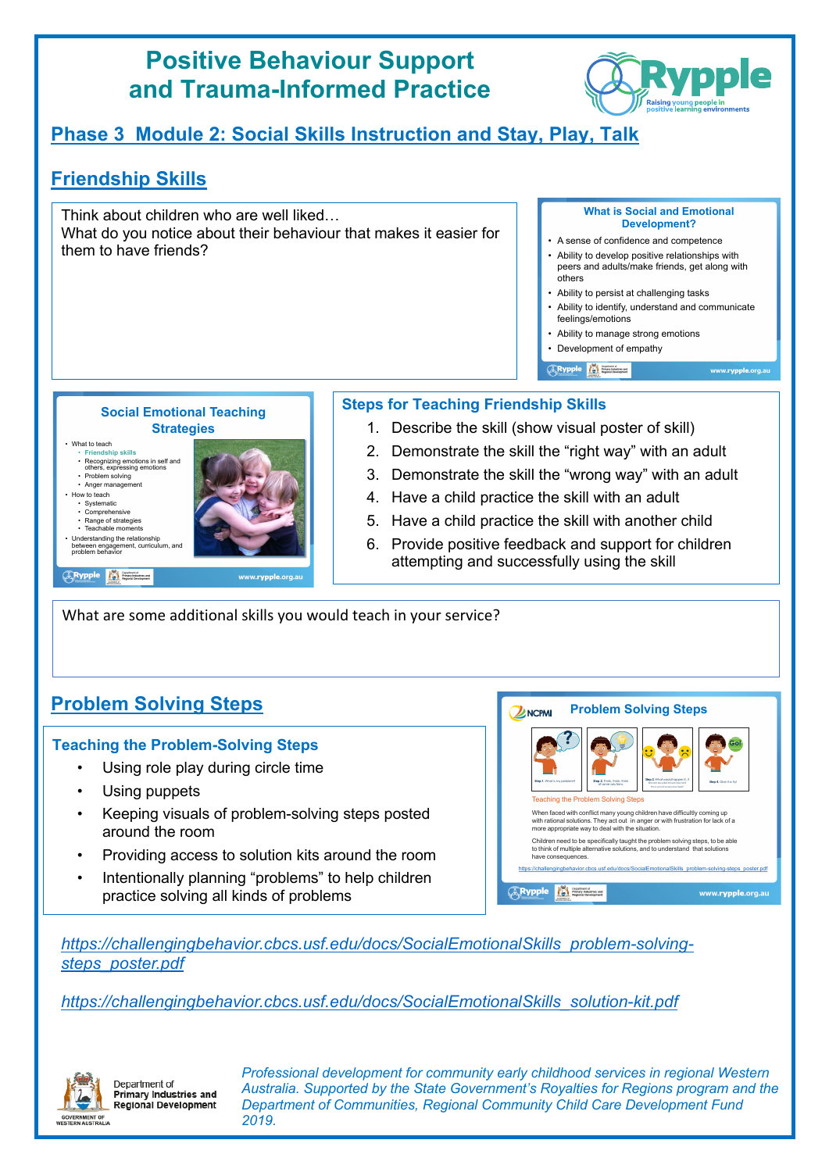# **Positive Behaviour Support and Trauma-Informed Practice**



# **Phase 3 Module 2: Social Skills Instruction and Stay, Play, Talk**

## **Friendship Skills**

Think about children who are well liked… What do you notice about their behaviour that makes it easier for them to have friends?

#### **What is Social and Emotional Development?**

- A sense of confidence and competence
- Ability to develop positive relationships with peers and adults/make friends, get along with others
- Ability to persist at challenging tasks
- Ability to identify, understand and communicate feelings/emotions

www.rypple.org.at

- Ability to manage strong emotions
- Development of empathy

*CRypple* **All Entertainment** 

**Social Emotional Teaching Strategies**

• What to teach • **Friendship skills** • Recognizing emotions in self and others, expressing emotions • Problem solving • Anger management • How to teach • Systematic • Comprehensive • Range of strategies • Teachable moments • Understanding the relationship between engagement, curriculum, and problem behavior

**ARypple 19 France** 



### **Steps for Teaching Friendship Skills**

- 1. Describe the skill (show visual poster of skill)
- 2. Demonstrate the skill the "right way" with an adult
- 3. Demonstrate the skill the "wrong way" with an adult
- 4. Have a child practice the skill with an adult
- 5. Have a child practice the skill with another child
- 6. Provide positive feedback and support for children attempting and successfully using the skill

What are some additional skills you would teach in your service?

## **Problem Solving Steps**

### **Teaching the Problem-Solving Steps**

- Using role play during circle time
- Using puppets
- Keeping visuals of problem-solving steps posted around the room
- Providing access to solution kits around the room
- Intentionally planning "problems" to help children practice solving all kinds of problems

#### **Problem Solving Steps ZA NCPMI**



*https://challengingbehavior.cbcs.usf.edu/docs/SocialEmotionalSkills\_problem-solvingsteps\_poster.pdf*

*https://challengingbehavior.cbcs.usf.edu/docs/SocialEmotionalSkills\_solution-kit.pdf*



Denartment of **Primary Industries and** Regional Development *Professional development for community early childhood services in regional Western Australia. Supported by the State Government's Royalties for Regions program and the Department of Communities, Regional Community Child Care Development Fund 2019.*